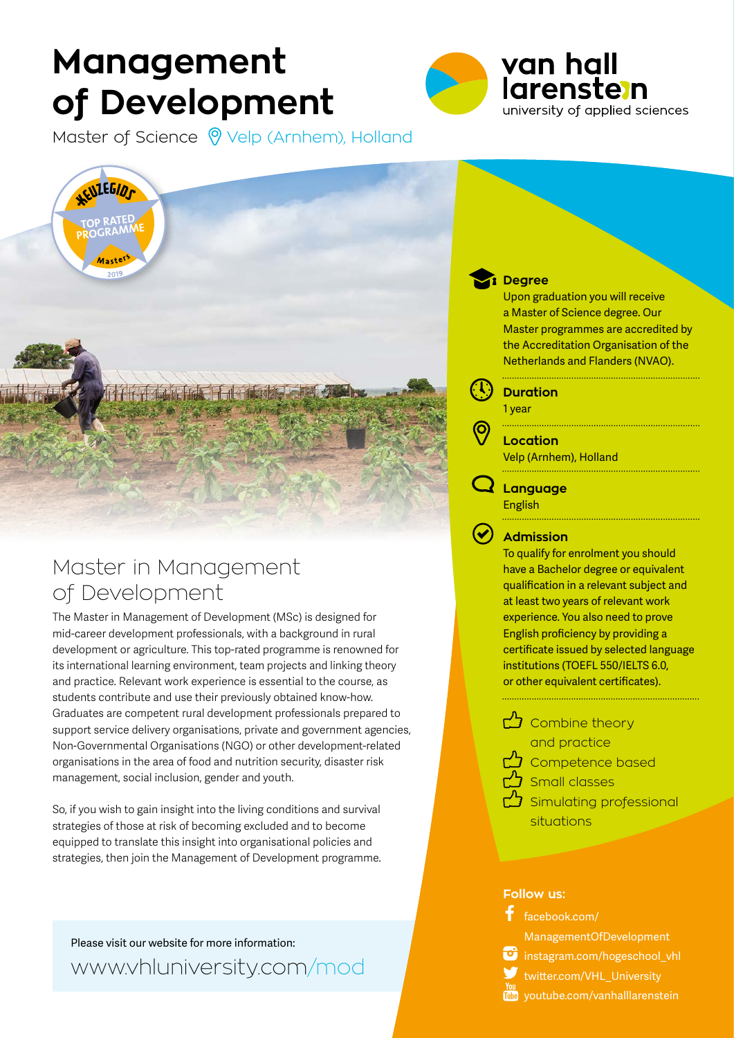# **Management of Development**



Master of Science  $\bigcirc$  Velp (Arnhem), Holland



### Master in Management of Development

The Master in Management of Development (MSc) is designed for mid-career development professionals, with a background in rural development or agriculture. This top-rated programme is renowned for its international learning environment, team projects and linking theory and practice. Relevant work experience is essential to the course, as students contribute and use their previously obtained know-how. Graduates are competent rural development professionals prepared to support service delivery organisations, private and government agencies, Non-Governmental Organisations (NGO) or other development-related organisations in the area of food and nutrition security, disaster risk management, social inclusion, gender and youth.

So, if you wish to gain insight into the living conditions and survival strategies of those at risk of becoming excluded and to become equipped to translate this insight into organisational policies and strategies, then join the Management of Development programme.

Please visit our website for more information: www.vhluniversity.com/mod

### **Degree**

Upon graduation you will receive a Master of Science degree. Our Master programmes are accredited by the Accreditation Organisation of the Netherlands and Flanders (NVAO).

**Duration**

1 year

**Location** Velp (Arnhem), Holland

**Language**

English

**Admission**

To qualify for enrolment you should have a Bachelor degree or equivalent qualification in a relevant subject and at least two years of relevant work experience. You also need to prove English proficiency by providing a certificate issued by selected language institutions (TOEFL 550/IELTS 6.0, or other equivalent certificates).

- Combine theory and practice
	- **Competence based**



 $\mathcal{B}$  Small classes

 $\mathcal{B}$  Simulating professional situations

#### **Follow us:**



ManagementOfDevelopment

instagram.com/hogeschool\_vhl

- twitter.com/VHL\_University
- **THE** youtube.com/vanhalllarenstein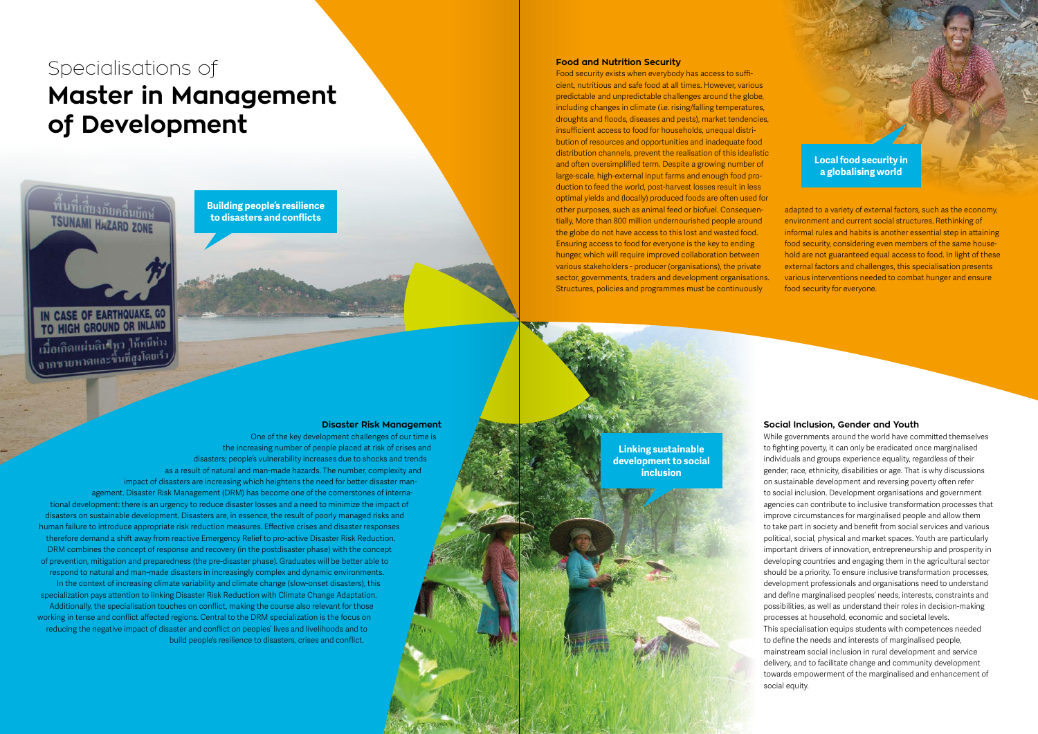**Disaster Risk Management** One of the key development challenges of our time is the increasing number of people placed at risk of crises and disasters; people's vulnerability increases due to shocks and trends as a result of natural and man-made hazards. The number, complexity and impact of disasters are increasing which heightens the need for better disaster management. Disaster Risk Management (DRM) has become one of the cornerstones of international development: there is an urgency to reduce disaster losses and a need to minimize the impact of disasters on sustainable development. Disasters are, in essence, the result of poorly managed risks and human failure to introduce appropriate risk reduction measures. Effective crises and disaster responses therefore demand a shift away from reactive Emergency Relief to pro-active Disaster Risk Reduction. DRM combines the concept of response and recovery (in the postdisaster phase) with the concept of prevention, mitigation and preparedness (the pre-disaster phase). Graduates will be better able to respond to natural and man-made disasters in increasingly complex and dynamic environments. In the context of increasing climate variability and climate change (slow-onset disasters), this specialization pays attention to linking Disaster Risk Reduction with Climate Change Adaptation. Additionally, the specialisation touches on conflict, making the course also relevant for those working in tense and conflict affected regions. Central to the DRM specialization is the focus on reducing the negative impact of disaster and conflict on peoples' lives and livelihoods and to build people's resilience to disasters, crises and conflict.

## Specialisations of **Master in Management of Development**

พื้นที่เสียงภัยคลื่นยักน์ **TSUNAMI HAZARD ZONE** 

IN CASE OF EARTHQUAKE, GO TO HIGH GROUND OR INLAND

เมื่อเกิดแผ่นดินข้า ให้หนี้ท่าง 

#### **Social Inclusion, Gender and Youth**

While governments around the world have committed themselves to fighting poverty, it can only be eradicated once marginalised individuals and groups experience equality, regardless of their gender, race, ethnicity, disabilities or age. That is why discussions on sustainable development and reversing poverty often refer to social inclusion. Development organisations and government agencies can contribute to inclusive transformation processes that improve circumstances for marginalised people and allow them to take part in society and benefit from social services and various political, social, physical and market spaces. Youth are particularly important drivers of innovation, entrepreneurship and prosperity in developing countries and engaging them in the agricultural sector should be a priority. To ensure inclusive transformation processes, development professionals and organisations need to understand and define marginalised peoples' needs, interests, constraints and possibilities, as well as understand their roles in decision-making processes at household, economic and societal levels. This specialisation equips students with competences needed to define the needs and interests of marginalised people, mainstream social inclusion in rural development and service

delivery, and to facilitate change and community development towards empowerment of the marginalised and enhancement of social equity.

#### **Food and Nutrition Security**

Food security exists when everybody has access to sufficient, nutritious and safe food at all times. However, various predictable and unpredictable challenges around the globe, including changes in climate (i.e. rising/falling temperatures, droughts and floods, diseases and pests), market tendencies, insufficient access to food for households, unequal distribution of resources and opportunities and inadequate food distribution channels, prevent the realisation of this idealistic and often oversimplified term. Despite a growing number of large-scale, high-external input farms and enough food production to feed the world, post-harvest losses result in less optimal yields and (locally) produced foods are often used for other purposes, such as animal feed or biofuel. Consequentially, More than 800 million undernourished people around the globe do not have access to this lost and wasted food. Ensuring access to food for everyone is the key to ending hunger, which will require improved collaboration between various stakeholders - producer (organisations), the private sector, governments, traders and development organisations. Structures, policies and programmes must be continuously

adapted to a variety of external factors, such as the economy, environment and current social structures. Rethinking of informal rules and habits is another essential step in attaining food security, considering even members of the same household are not guaranteed equal access to food. In light of these external factors and challenges, this specialisation presents various interventions needed to combat hunger and ensure food security for everyone.

**Linking sustainable development to social inclusion**

**Local food security in a globalising world**

**Building people's resilience to disasters and conflicts**